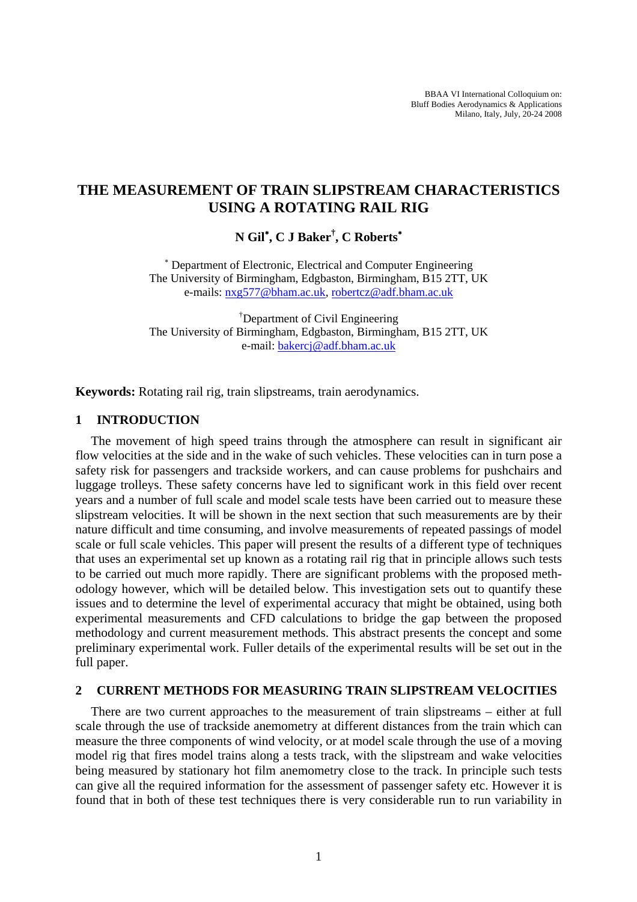BBAA VI International Colloquium on: Bluff Bodies Aerodynamics & Applications Milano, Italy, July, 20-24 2008

# **THE MEASUREMENT OF TRAIN SLIPSTREAM CHARACTERISTICS USING A ROTATING RAIL RIG**

**N Gil**<sup>∗</sup> **, C J Baker† , C Roberts**<sup>∗</sup>

∗ Department of Electronic, Electrical and Computer Engineering The University of Birmingham, Edgbaston, Birmingham, B15 2TT, UK e-mails: nxg577@bham.ac.uk, robertcz@adf.bham.ac.uk

† Department of Civil Engineering The University of Birmingham, Edgbaston, Birmingham, B15 2TT, UK e-mail: bakercj@adf.bham.ac.uk

**Keywords:** Rotating rail rig, train slipstreams, train aerodynamics.

### **1 INTRODUCTION**

The movement of high speed trains through the atmosphere can result in significant air flow velocities at the side and in the wake of such vehicles. These velocities can in turn pose a safety risk for passengers and trackside workers, and can cause problems for pushchairs and luggage trolleys. These safety concerns have led to significant work in this field over recent years and a number of full scale and model scale tests have been carried out to measure these slipstream velocities. It will be shown in the next section that such measurements are by their nature difficult and time consuming, and involve measurements of repeated passings of model scale or full scale vehicles. This paper will present the results of a different type of techniques that uses an experimental set up known as a rotating rail rig that in principle allows such tests to be carried out much more rapidly. There are significant problems with the proposed methodology however, which will be detailed below. This investigation sets out to quantify these issues and to determine the level of experimental accuracy that might be obtained, using both experimental measurements and CFD calculations to bridge the gap between the proposed methodology and current measurement methods. This abstract presents the concept and some preliminary experimental work. Fuller details of the experimental results will be set out in the full paper.

#### **2 CURRENT METHODS FOR MEASURING TRAIN SLIPSTREAM VELOCITIES**

There are two current approaches to the measurement of train slipstreams – either at full scale through the use of trackside anemometry at different distances from the train which can measure the three components of wind velocity, or at model scale through the use of a moving model rig that fires model trains along a tests track, with the slipstream and wake velocities being measured by stationary hot film anemometry close to the track. In principle such tests can give all the required information for the assessment of passenger safety etc. However it is found that in both of these test techniques there is very considerable run to run variability in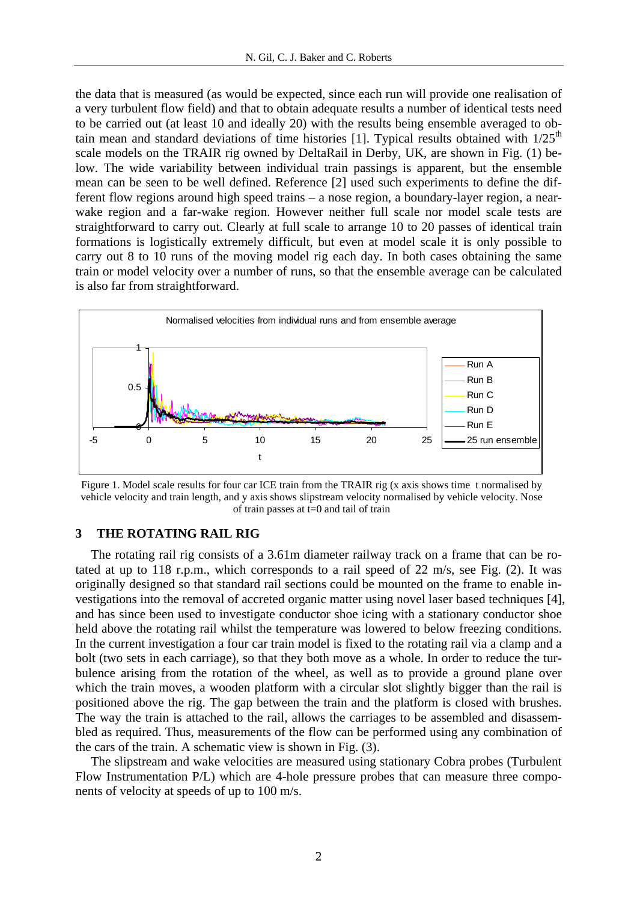the data that is measured (as would be expected, since each run will provide one realisation of a very turbulent flow field) and that to obtain adequate results a number of identical tests need to be carried out (at least 10 and ideally 20) with the results being ensemble averaged to obtain mean and standard deviations of time histories [1]. Typical results obtained with  $1/25<sup>th</sup>$ scale models on the TRAIR rig owned by DeltaRail in Derby, UK, are shown in Fig. (1) below. The wide variability between individual train passings is apparent, but the ensemble mean can be seen to be well defined. Reference [2] used such experiments to define the different flow regions around high speed trains – a nose region, a boundary-layer region, a nearwake region and a far-wake region. However neither full scale nor model scale tests are straightforward to carry out. Clearly at full scale to arrange 10 to 20 passes of identical train formations is logistically extremely difficult, but even at model scale it is only possible to carry out 8 to 10 runs of the moving model rig each day. In both cases obtaining the same train or model velocity over a number of runs, so that the ensemble average can be calculated is also far from straightforward.



Figure 1. Model scale results for four car ICE train from the TRAIR rig (x axis shows time t normalised by vehicle velocity and train length, and y axis shows slipstream velocity normalised by vehicle velocity. Nose of train passes at t=0 and tail of train

#### **3 THE ROTATING RAIL RIG**

The rotating rail rig consists of a 3.61m diameter railway track on a frame that can be rotated at up to 118 r.p.m., which corresponds to a rail speed of 22 m/s, see Fig. (2). It was originally designed so that standard rail sections could be mounted on the frame to enable investigations into the removal of accreted organic matter using novel laser based techniques [4], and has since been used to investigate conductor shoe icing with a stationary conductor shoe held above the rotating rail whilst the temperature was lowered to below freezing conditions. In the current investigation a four car train model is fixed to the rotating rail via a clamp and a bolt (two sets in each carriage), so that they both move as a whole. In order to reduce the turbulence arising from the rotation of the wheel, as well as to provide a ground plane over which the train moves, a wooden platform with a circular slot slightly bigger than the rail is positioned above the rig. The gap between the train and the platform is closed with brushes. The way the train is attached to the rail, allows the carriages to be assembled and disassembled as required. Thus, measurements of the flow can be performed using any combination of the cars of the train. A schematic view is shown in Fig. (3).

The slipstream and wake velocities are measured using stationary Cobra probes (Turbulent Flow Instrumentation P/L) which are 4-hole pressure probes that can measure three components of velocity at speeds of up to 100 m/s.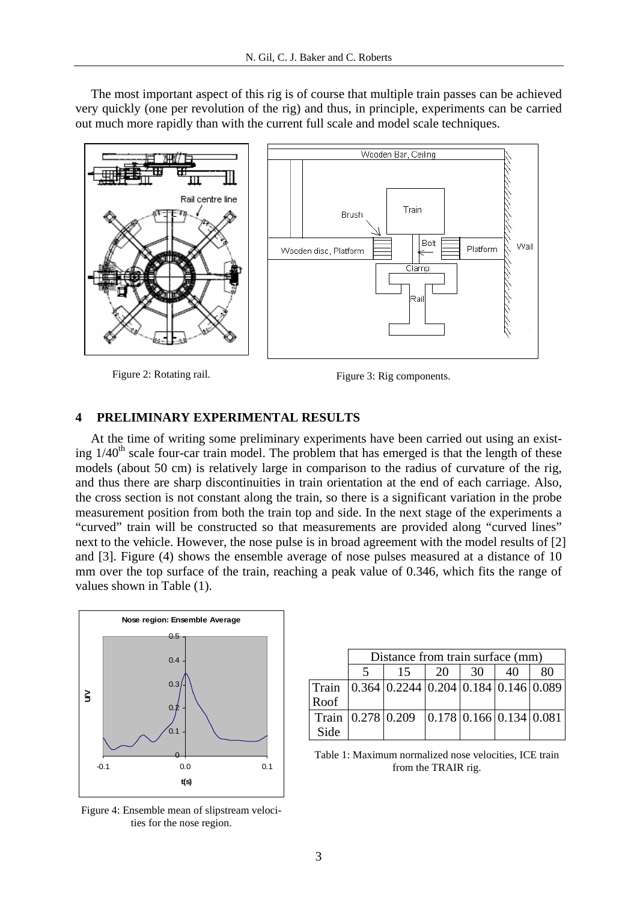The most important aspect of this rig is of course that multiple train passes can be achieved very quickly (one per revolution of the rig) and thus, in principle, experiments can be carried out much more rapidly than with the current full scale and model scale techniques.



Figure 2: Rotating rail. Figure 3: Rig components.

## **4 PRELIMINARY EXPERIMENTAL RESULTS**

At the time of writing some preliminary experiments have been carried out using an existing  $1/40<sup>th</sup>$  scale four-car train model. The problem that has emerged is that the length of these models (about 50 cm) is relatively large in comparison to the radius of curvature of the rig, and thus there are sharp discontinuities in train orientation at the end of each carriage. Also, the cross section is not constant along the train, so there is a significant variation in the probe measurement position from both the train top and side. In the next stage of the experiments a "curved" train will be constructed so that measurements are provided along "curved lines" next to the vehicle. However, the nose pulse is in broad agreement with the model results of [2] and [3]. Figure (4) shows the ensemble average of nose pulses measured at a distance of 10 mm over the top surface of the train, reaching a peak value of 0.346, which fits the range of values shown in Table (1).



Distance from train surface (mm) 5 | 15 | 20 | 30 | 40 | 80 Train Roof 0.364 0.2244 0.204 0.184 0.146 0.089 Train Side  $0.278 \mid 0.209 \mid 0.178 \mid 0.166 \mid 0.134 \mid 0.081$ 

Table 1: Maximum normalized nose velocities, ICE train from the TRAIR rig.

Figure 4: Ensemble mean of slipstream velocities for the nose region.